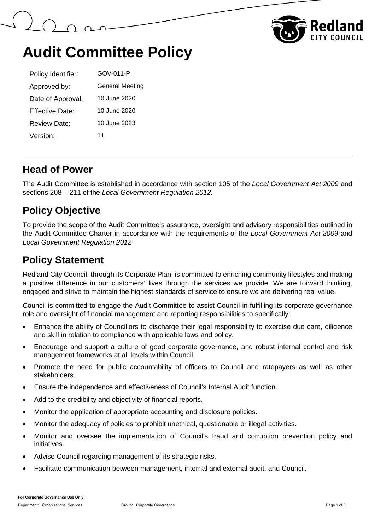



# **Audit Committee Policy**

| Policy Identifier: | GOV-011-P              |
|--------------------|------------------------|
| Approved by:       | <b>General Meeting</b> |
| Date of Approval:  | 10 June 2020           |
| Effective Date:    | 10 June 2020           |
| Review Date:       | 10 June 2023           |
| Version:           | 11                     |

#### **Head of Power**

The Audit Committee is established in accordance with section 105 of the *Local Government Act 2009* and sections 208 – 211 of the *Local Government Regulation 2012.*

### **Policy Objective**

To provide the scope of the Audit Committee's assurance, oversight and advisory responsibilities outlined in the Audit Committee Charter in accordance with the requirements of the *Local Government Act 2009* and *Local Government Regulation 2012*

## **Policy Statement**

Redland City Council, through its Corporate Plan, is committed to enriching community lifestyles and making a positive difference in our customers' lives through the services we provide. We are forward thinking, engaged and strive to maintain the highest standards of service to ensure we are delivering real value.

Council is committed to engage the Audit Committee to assist Council in fulfilling its corporate governance role and oversight of financial management and reporting responsibilities to specifically:

- Enhance the ability of Councillors to discharge their legal responsibility to exercise due care, diligence and skill in relation to compliance with applicable laws and policy.
- Encourage and support a culture of good corporate governance, and robust internal control and risk management frameworks at all levels within Council.
- Promote the need for public accountability of officers to Council and ratepayers as well as other stakeholders.
- Ensure the independence and effectiveness of Council's Internal Audit function.
- Add to the credibility and objectivity of financial reports.
- Monitor the application of appropriate accounting and disclosure policies.
- Monitor the adequacy of policies to prohibit unethical, questionable or illegal activities.
- Monitor and oversee the implementation of Council's fraud and corruption prevention policy and initiatives.
- Advise Council regarding management of its strategic risks.
- Facilitate communication between management, internal and external audit, and Council.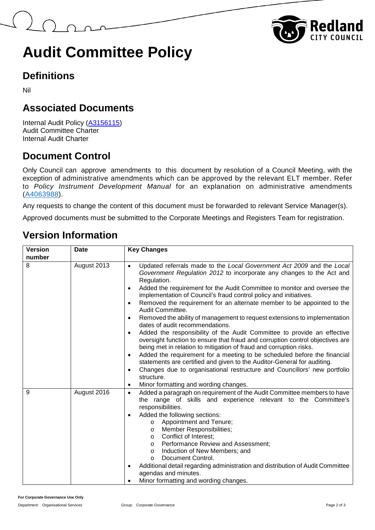



# **Audit Committee Policy**

## **Definitions**

Nil

## **Associated Documents**

Internal Audit Policy [\(A3156115\)](https://edrms-prd.rccprd.redland.qld.gov.au/id:A3156115/document/versions/published) Audit Committee Charter Internal Audit Charter

### **Document Control**

Only Council can approve amendments to this document by resolution of a Council Meeting, with the exception of administrative amendments which can be approved by the relevant ELT member. Refer to *Policy Instrument Development Manual* for an explanation on administrative amendments [\(A4063988\)](https://edrms-prd.rccprd.redland.qld.gov.au/id:A4063988/document/versions/published).

Any requests to change the content of this document must be forwarded to relevant Service Manager(s).

Approved documents must be submitted to the Corporate Meetings and Registers Team for registration.

### **Version Information**

| <b>Version</b> | <b>Date</b> | <b>Key Changes</b>                                                                                                                                                                                                                                                                                                                                                                                                                                                                                                                                                                                                                                                                                                                                                                                                                                                                                                                                                                                                                                                                                                                                      |
|----------------|-------------|---------------------------------------------------------------------------------------------------------------------------------------------------------------------------------------------------------------------------------------------------------------------------------------------------------------------------------------------------------------------------------------------------------------------------------------------------------------------------------------------------------------------------------------------------------------------------------------------------------------------------------------------------------------------------------------------------------------------------------------------------------------------------------------------------------------------------------------------------------------------------------------------------------------------------------------------------------------------------------------------------------------------------------------------------------------------------------------------------------------------------------------------------------|
| number         |             |                                                                                                                                                                                                                                                                                                                                                                                                                                                                                                                                                                                                                                                                                                                                                                                                                                                                                                                                                                                                                                                                                                                                                         |
| 8              | August 2013 | Updated referrals made to the Local Government Act 2009 and the Local<br>$\bullet$<br>Government Regulation 2012 to incorporate any changes to the Act and<br>Regulation.<br>Added the requirement for the Audit Committee to monitor and oversee the<br>$\bullet$<br>implementation of Council's fraud control policy and initiatives.<br>Removed the requirement for an alternate member to be appointed to the<br>$\bullet$<br>Audit Committee.<br>Removed the ability of management to request extensions to implementation<br>$\bullet$<br>dates of audit recommendations.<br>Added the responsibility of the Audit Committee to provide an effective<br>$\bullet$<br>oversight function to ensure that fraud and corruption control objectives are<br>being met in relation to mitigation of fraud and corruption risks.<br>Added the requirement for a meeting to be scheduled before the financial<br>$\bullet$<br>statements are certified and given to the Auditor-General for auditing.<br>Changes due to organisational restructure and Councillors' new portfolio<br>$\bullet$<br>structure.<br>Minor formatting and wording changes.<br>٠ |
| 9              | August 2016 | Added a paragraph on requirement of the Audit Committee members to have<br>$\bullet$<br>the range of skills and experience relevant to the Committee's<br>responsibilities.<br>Added the following sections:<br>٠<br>Appointment and Tenure;<br>$\circ$<br>Member Responsibilities;<br>$\circ$<br>Conflict of Interest;<br>$\circ$<br>Performance Review and Assessment;<br>$\circ$<br>Induction of New Members; and<br>$\circ$<br>Document Control.<br>$\Omega$<br>Additional detail regarding administration and distribution of Audit Committee<br>٠<br>agendas and minutes.<br>Minor formatting and wording changes.                                                                                                                                                                                                                                                                                                                                                                                                                                                                                                                                |